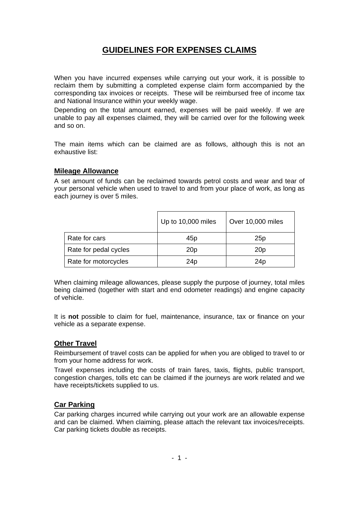# **GUIDELINES FOR EXPENSES CLAIMS**

When you have incurred expenses while carrying out your work, it is possible to reclaim them by submitting a completed expense claim form accompanied by the corresponding tax invoices or receipts. These will be reimbursed free of income tax and National Insurance within your weekly wage.

Depending on the total amount earned, expenses will be paid weekly. If we are unable to pay all expenses claimed, they will be carried over for the following week and so on.

The main items which can be claimed are as follows, although this is not an exhaustive list:

#### **Mileage Allowance**

A set amount of funds can be reclaimed towards petrol costs and wear and tear of your personal vehicle when used to travel to and from your place of work, as long as each journey is over 5 miles.

|                       | Up to 10,000 miles | Over 10,000 miles |
|-----------------------|--------------------|-------------------|
| Rate for cars         | 45p                | 25p               |
| Rate for pedal cycles | 20 <sub>p</sub>    | 20 <sub>p</sub>   |
| Rate for motorcycles  | 24 <sub>p</sub>    | 24p               |

When claiming mileage allowances, please supply the purpose of journey, total miles being claimed (together with start and end odometer readings) and engine capacity of vehicle.

It is **not** possible to claim for fuel, maintenance, insurance, tax or finance on your vehicle as a separate expense.

## **Other Travel**

Reimbursement of travel costs can be applied for when you are obliged to travel to or from your home address for work.

Travel expenses including the costs of train fares, taxis, flights, public transport, congestion charges, tolls etc can be claimed if the journeys are work related and we have receipts/tickets supplied to us.

## **Car Parking**

Car parking charges incurred while carrying out your work are an allowable expense and can be claimed. When claiming, please attach the relevant tax invoices/receipts. Car parking tickets double as receipts.